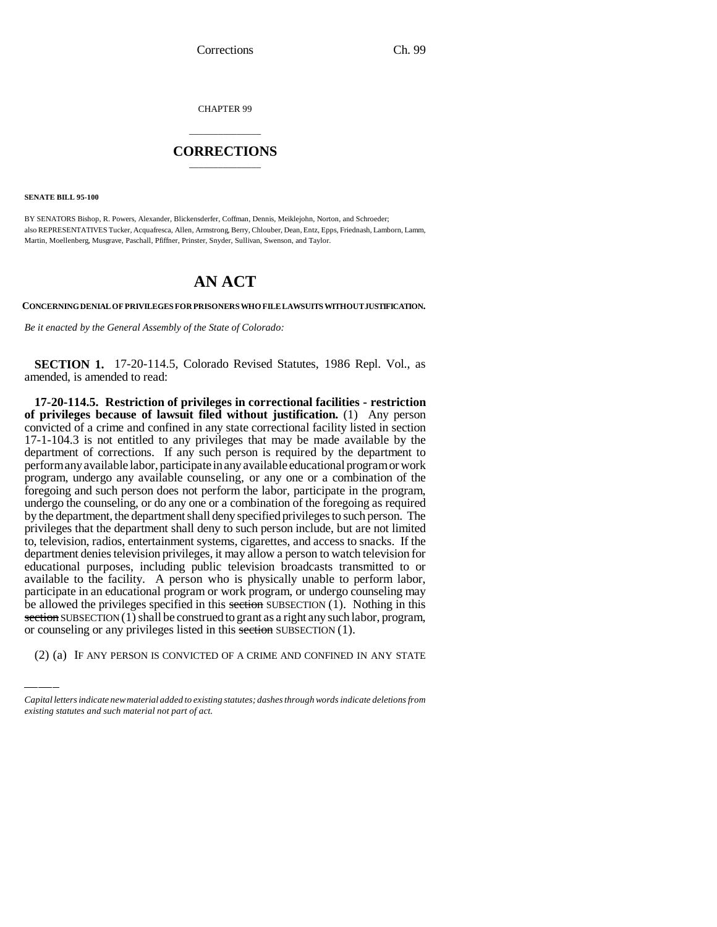CHAPTER 99

## \_\_\_\_\_\_\_\_\_\_\_\_\_\_\_ **CORRECTIONS** \_\_\_\_\_\_\_\_\_\_\_\_\_\_\_

**SENATE BILL 95-100**

BY SENATORS Bishop, R. Powers, Alexander, Blickensderfer, Coffman, Dennis, Meiklejohn, Norton, and Schroeder; also REPRESENTATIVES Tucker, Acquafresca, Allen, Armstrong, Berry, Chlouber, Dean, Entz, Epps, Friednash, Lamborn, Lamm, Martin, Moellenberg, Musgrave, Paschall, Pfiffner, Prinster, Snyder, Sullivan, Swenson, and Taylor.

## **AN ACT**

**CONCERNING DENIAL OF PRIVILEGES FOR PRISONERS WHO FILE LAWSUITS WITHOUT JUSTIFICATION.**

*Be it enacted by the General Assembly of the State of Colorado:*

**SECTION 1.** 17-20-114.5, Colorado Revised Statutes, 1986 Repl. Vol., as amended, is amended to read:

participate in an educational program of work program, or undergo counseling may<br>be allowed the privileges specified in this section SUBSECTION (1). Nothing in this **17-20-114.5. Restriction of privileges in correctional facilities - restriction of privileges because of lawsuit filed without justification.** (1) Any person convicted of a crime and confined in any state correctional facility listed in section 17-1-104.3 is not entitled to any privileges that may be made available by the department of corrections. If any such person is required by the department to perform any available labor, participate in any available educational program or work program, undergo any available counseling, or any one or a combination of the foregoing and such person does not perform the labor, participate in the program, undergo the counseling, or do any one or a combination of the foregoing as required by the department, the department shall deny specified privileges to such person. The privileges that the department shall deny to such person include, but are not limited to, television, radios, entertainment systems, cigarettes, and access to snacks. If the department denies television privileges, it may allow a person to watch television for educational purposes, including public television broadcasts transmitted to or available to the facility. A person who is physically unable to perform labor, participate in an educational program or work program, or undergo counseling may section SUBSECTION (1) shall be construed to grant as a right any such labor, program, or counseling or any privileges listed in this section SUBSECTION (1).

(2) (a) IF ANY PERSON IS CONVICTED OF A CRIME AND CONFINED IN ANY STATE

*Capital letters indicate new material added to existing statutes; dashes through words indicate deletions from existing statutes and such material not part of act.*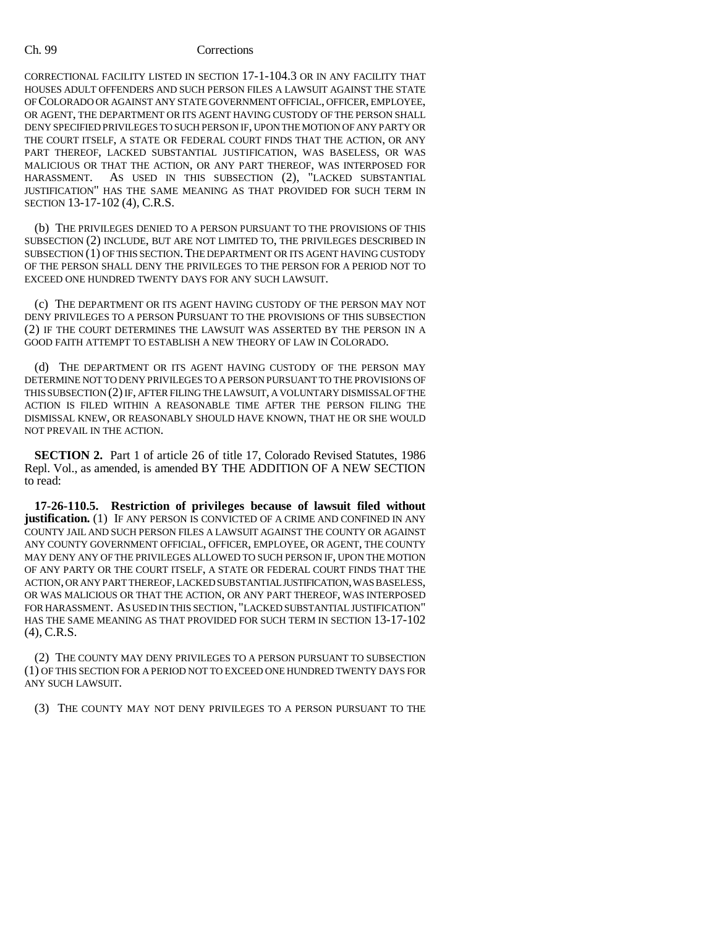## Ch. 99 Corrections

CORRECTIONAL FACILITY LISTED IN SECTION 17-1-104.3 OR IN ANY FACILITY THAT HOUSES ADULT OFFENDERS AND SUCH PERSON FILES A LAWSUIT AGAINST THE STATE OF COLORADO OR AGAINST ANY STATE GOVERNMENT OFFICIAL, OFFICER, EMPLOYEE, OR AGENT, THE DEPARTMENT OR ITS AGENT HAVING CUSTODY OF THE PERSON SHALL DENY SPECIFIED PRIVILEGES TO SUCH PERSON IF, UPON THE MOTION OF ANY PARTY OR THE COURT ITSELF, A STATE OR FEDERAL COURT FINDS THAT THE ACTION, OR ANY PART THEREOF, LACKED SUBSTANTIAL JUSTIFICATION, WAS BASELESS, OR WAS MALICIOUS OR THAT THE ACTION, OR ANY PART THEREOF, WAS INTERPOSED FOR HARASSMENT. AS USED IN THIS SUBSECTION (2), "LACKED SUBSTANTIAL JUSTIFICATION" HAS THE SAME MEANING AS THAT PROVIDED FOR SUCH TERM IN SECTION 13-17-102 (4), C.R.S.

(b) THE PRIVILEGES DENIED TO A PERSON PURSUANT TO THE PROVISIONS OF THIS SUBSECTION (2) INCLUDE, BUT ARE NOT LIMITED TO, THE PRIVILEGES DESCRIBED IN SUBSECTION (1) OF THIS SECTION.THE DEPARTMENT OR ITS AGENT HAVING CUSTODY OF THE PERSON SHALL DENY THE PRIVILEGES TO THE PERSON FOR A PERIOD NOT TO EXCEED ONE HUNDRED TWENTY DAYS FOR ANY SUCH LAWSUIT.

(c) THE DEPARTMENT OR ITS AGENT HAVING CUSTODY OF THE PERSON MAY NOT DENY PRIVILEGES TO A PERSON PURSUANT TO THE PROVISIONS OF THIS SUBSECTION (2) IF THE COURT DETERMINES THE LAWSUIT WAS ASSERTED BY THE PERSON IN A GOOD FAITH ATTEMPT TO ESTABLISH A NEW THEORY OF LAW IN COLORADO.

(d) THE DEPARTMENT OR ITS AGENT HAVING CUSTODY OF THE PERSON MAY DETERMINE NOT TO DENY PRIVILEGES TO A PERSON PURSUANT TO THE PROVISIONS OF THIS SUBSECTION (2) IF, AFTER FILING THE LAWSUIT, A VOLUNTARY DISMISSAL OF THE ACTION IS FILED WITHIN A REASONABLE TIME AFTER THE PERSON FILING THE DISMISSAL KNEW, OR REASONABLY SHOULD HAVE KNOWN, THAT HE OR SHE WOULD NOT PREVAIL IN THE ACTION.

**SECTION 2.** Part 1 of article 26 of title 17, Colorado Revised Statutes, 1986 Repl. Vol., as amended, is amended BY THE ADDITION OF A NEW SECTION to read:

**17-26-110.5. Restriction of privileges because of lawsuit filed without justification.** (1) IF ANY PERSON IS CONVICTED OF A CRIME AND CONFINED IN ANY COUNTY JAIL AND SUCH PERSON FILES A LAWSUIT AGAINST THE COUNTY OR AGAINST ANY COUNTY GOVERNMENT OFFICIAL, OFFICER, EMPLOYEE, OR AGENT, THE COUNTY MAY DENY ANY OF THE PRIVILEGES ALLOWED TO SUCH PERSON IF, UPON THE MOTION OF ANY PARTY OR THE COURT ITSELF, A STATE OR FEDERAL COURT FINDS THAT THE ACTION, OR ANY PART THEREOF, LACKED SUBSTANTIAL JUSTIFICATION, WAS BASELESS, OR WAS MALICIOUS OR THAT THE ACTION, OR ANY PART THEREOF, WAS INTERPOSED FOR HARASSMENT. AS USED IN THIS SECTION, "LACKED SUBSTANTIAL JUSTIFICATION" HAS THE SAME MEANING AS THAT PROVIDED FOR SUCH TERM IN SECTION 13-17-102 (4), C.R.S.

(2) THE COUNTY MAY DENY PRIVILEGES TO A PERSON PURSUANT TO SUBSECTION (1) OF THIS SECTION FOR A PERIOD NOT TO EXCEED ONE HUNDRED TWENTY DAYS FOR ANY SUCH LAWSUIT.

(3) THE COUNTY MAY NOT DENY PRIVILEGES TO A PERSON PURSUANT TO THE